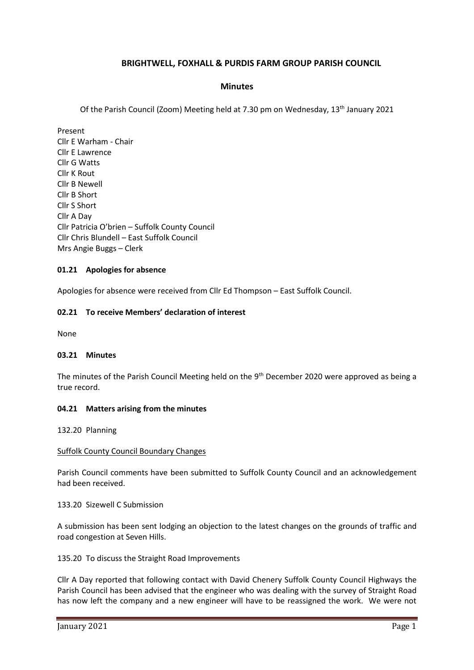# **BRIGHTWELL, FOXHALL & PURDIS FARM GROUP PARISH COUNCIL**

### **Minutes**

Of the Parish Council (Zoom) Meeting held at 7.30 pm on Wednesday, 13<sup>th</sup> January 2021

Present Cllr E Warham - Chair Cllr E Lawrence Cllr G Watts Cllr K Rout Cllr B Newell Cllr B Short Cllr S Short Cllr A Day Cllr Patricia O'brien – Suffolk County Council Cllr Chris Blundell – East Suffolk Council Mrs Angie Buggs – Clerk

### **01.21 Apologies for absence**

Apologies for absence were received from Cllr Ed Thompson – East Suffolk Council.

### **02.21 To receive Members' declaration of interest**

None

### **03.21 Minutes**

The minutes of the Parish Council Meeting held on the 9<sup>th</sup> December 2020 were approved as being a true record.

### **04.21 Matters arising from the minutes**

132.20 Planning

### Suffolk County Council Boundary Changes

Parish Council comments have been submitted to Suffolk County Council and an acknowledgement had been received.

### 133.20 Sizewell C Submission

A submission has been sent lodging an objection to the latest changes on the grounds of traffic and road congestion at Seven Hills.

135.20 To discuss the Straight Road Improvements

Cllr A Day reported that following contact with David Chenery Suffolk County Council Highways the Parish Council has been advised that the engineer who was dealing with the survey of Straight Road has now left the company and a new engineer will have to be reassigned the work. We were not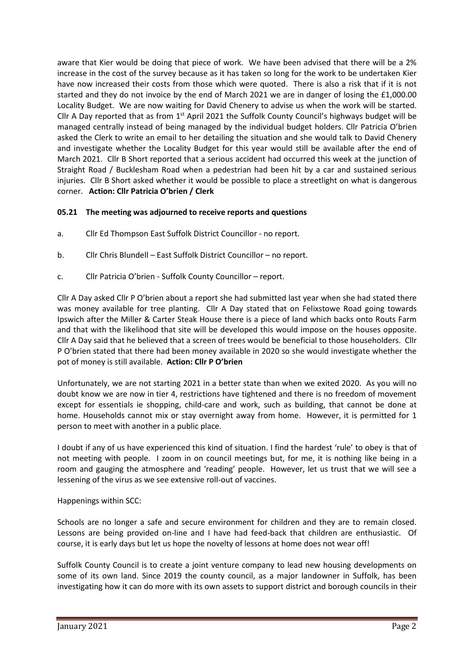aware that Kier would be doing that piece of work. We have been advised that there will be a 2% increase in the cost of the survey because as it has taken so long for the work to be undertaken Kier have now increased their costs from those which were quoted. There is also a risk that if it is not started and they do not invoice by the end of March 2021 we are in danger of losing the £1,000.00 Locality Budget. We are now waiting for David Chenery to advise us when the work will be started. Cllr A Day reported that as from  $1<sup>st</sup>$  April 2021 the Suffolk County Council's highways budget will be managed centrally instead of being managed by the individual budget holders. Cllr Patricia O'brien asked the Clerk to write an email to her detailing the situation and she would talk to David Chenery and investigate whether the Locality Budget for this year would still be available after the end of March 2021. Cllr B Short reported that a serious accident had occurred this week at the junction of Straight Road / Bucklesham Road when a pedestrian had been hit by a car and sustained serious injuries. Cllr B Short asked whether it would be possible to place a streetlight on what is dangerous corner. **Action: Cllr Patricia O'brien / Clerk**

# **05.21 The meeting was adjourned to receive reports and questions**

- a. Cllr Ed Thompson East Suffolk District Councillor no report.
- b. Cllr Chris Blundell East Suffolk District Councillor no report.
- c. Cllr Patricia O'brien Suffolk County Councillor report.

Cllr A Day asked Cllr P O'brien about a report she had submitted last year when she had stated there was money available for tree planting. Cllr A Day stated that on Felixstowe Road going towards Ipswich after the Miller & Carter Steak House there is a piece of land which backs onto Routs Farm and that with the likelihood that site will be developed this would impose on the houses opposite. Cllr A Day said that he believed that a screen of trees would be beneficial to those householders. Cllr P O'brien stated that there had been money available in 2020 so she would investigate whether the pot of money is still available. **Action: Cllr P O'brien**

Unfortunately, we are not starting 2021 in a better state than when we exited 2020. As you will no doubt know we are now in tier 4, restrictions have tightened and there is no freedom of movement except for essentials ie shopping, child-care and work, such as building, that cannot be done at home. Households cannot mix or stay overnight away from home. However, it is permitted for 1 person to meet with another in a public place.

I doubt if any of us have experienced this kind of situation. I find the hardest 'rule' to obey is that of not meeting with people. I zoom in on council meetings but, for me, it is nothing like being in a room and gauging the atmosphere and 'reading' people. However, let us trust that we will see a lessening of the virus as we see extensive roll-out of vaccines.

Happenings within SCC:

Schools are no longer a safe and secure environment for children and they are to remain closed. Lessons are being provided on-line and I have had feed-back that children are enthusiastic. Of course, it is early days but let us hope the novelty of lessons at home does not wear off!

Suffolk County Council is to create a joint venture company to lead new housing developments on some of its own land. Since 2019 the county council, as a major landowner in Suffolk, has been investigating how it can do more with its own assets to support district and borough councils in their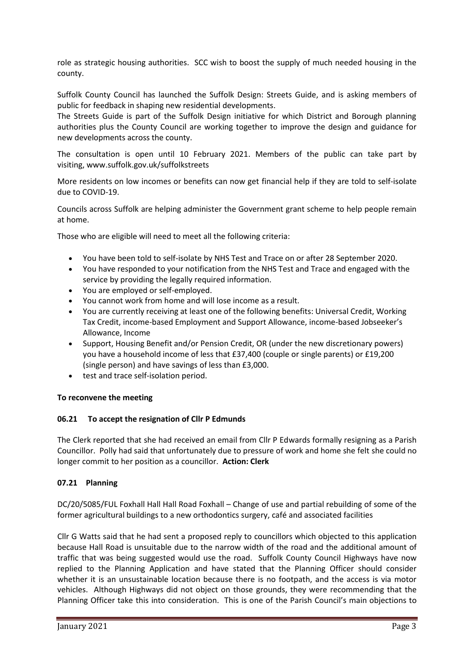role as strategic housing authorities. SCC wish to boost the supply of much needed housing in the county.

Suffolk County Council has launched the Suffolk Design: Streets Guide, and is asking members of public for feedback in shaping new residential developments.

The Streets Guide is part of the Suffolk Design initiative for which District and Borough planning authorities plus the County Council are working together to improve the design and guidance for new developments across the county.

The consultation is open until 10 February 2021. Members of the public can take part by visiting, [www.suffolk.gov.uk/suffolkstreets](https://www.suffolk.gov.uk/planning-waste-and-environment/planning-and-development-advice/suffolk-design-streets-guide/)

More residents on low incomes or benefits can now get financial help if they are told to self-isolate due to COVID-19.

Councils across Suffolk are helping administer the Government grant scheme to help people remain at home.

Those who are eligible will need to meet all the following criteria:

- You have been told to self-isolate by NHS Test and Trace on or after 28 September 2020.
- You have responded to your notification from the NHS Test and Trace and engaged with the service by providing the legally required information.
- You are employed or self-employed.
- You cannot work from home and will lose income as a result.
- You are currently receiving at least one of the following benefits: Universal Credit, Working Tax Credit, income-based Employment and Support Allowance, income-based Jobseeker's Allowance, Income
- Support, Housing Benefit and/or Pension Credit, OR (under the new discretionary powers) you have a household income of less that £37,400 (couple or single parents) or £19,200 (single person) and have savings of less than £3,000.
- test and trace self-isolation period.

### **To reconvene the meeting**

### **06.21 To accept the resignation of Cllr P Edmunds**

The Clerk reported that she had received an email from Cllr P Edwards formally resigning as a Parish Councillor. Polly had said that unfortunately due to pressure of work and home she felt she could no longer commit to her position as a councillor. **Action: Clerk**

### **07.21 Planning**

DC/20/5085/FUL Foxhall Hall Hall Road Foxhall – Change of use and partial rebuilding of some of the former agricultural buildings to a new orthodontics surgery, café and associated facilities

Cllr G Watts said that he had sent a proposed reply to councillors which objected to this application because Hall Road is unsuitable due to the narrow width of the road and the additional amount of traffic that was being suggested would use the road. Suffolk County Council Highways have now replied to the Planning Application and have stated that the Planning Officer should consider whether it is an unsustainable location because there is no footpath, and the access is via motor vehicles. Although Highways did not object on those grounds, they were recommending that the Planning Officer take this into consideration. This is one of the Parish Council's main objections to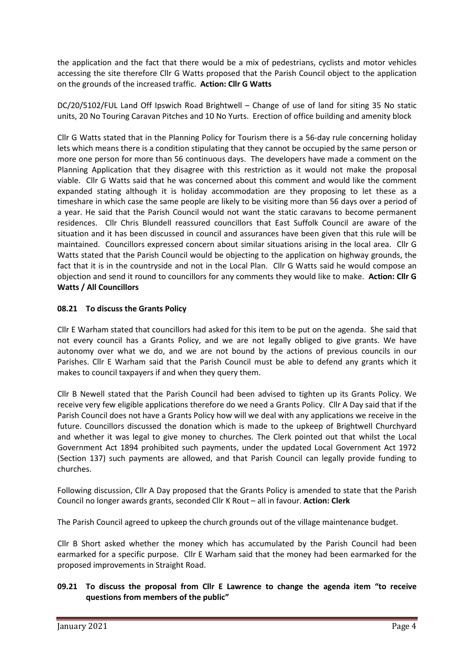the application and the fact that there would be a mix of pedestrians, cyclists and motor vehicles accessing the site therefore Cllr G Watts proposed that the Parish Council object to the application on the grounds of the increased traffic. **Action: Cllr G Watts**

DC/20/5102/FUL Land Off Ipswich Road Brightwell – Change of use of land for siting 35 No static units, 20 No Touring Caravan Pitches and 10 No Yurts. Erection of office building and amenity block

Cllr G Watts stated that in the Planning Policy for Tourism there is a 56-day rule concerning holiday lets which means there is a condition stipulating that they cannot be occupied by the same person or more one person for more than 56 continuous days. The developers have made a comment on the Planning Application that they disagree with this restriction as it would not make the proposal viable. Cllr G Watts said that he was concerned about this comment and would like the comment expanded stating although it is holiday accommodation are they proposing to let these as a timeshare in which case the same people are likely to be visiting more than 56 days over a period of a year. He said that the Parish Council would not want the static caravans to become permanent residences. Cllr Chris Blundell reassured councillors that East Suffolk Council are aware of the situation and it has been discussed in council and assurances have been given that this rule will be maintained. Councillors expressed concern about similar situations arising in the local area. Cllr G Watts stated that the Parish Council would be objecting to the application on highway grounds, the fact that it is in the countryside and not in the Local Plan. Cllr G Watts said he would compose an objection and send it round to councillors for any comments they would like to make. **Action: Cllr G Watts / All Councillors**

## **08.21 To discuss the Grants Policy**

Cllr E Warham stated that councillors had asked for this item to be put on the agenda. She said that not every council has a Grants Policy, and we are not legally obliged to give grants. We have autonomy over what we do, and we are not bound by the actions of previous councils in our Parishes. Cllr E Warham said that the Parish Council must be able to defend any grants which it makes to council taxpayers if and when they query them.

Cllr B Newell stated that the Parish Council had been advised to tighten up its Grants Policy. We receive very few eligible applications therefore do we need a Grants Policy. Cllr A Day said that if the Parish Council does not have a Grants Policy how will we deal with any applications we receive in the future. Councillors discussed the donation which is made to the upkeep of Brightwell Churchyard and whether it was legal to give money to churches. The Clerk pointed out that whilst the Local Government Act 1894 prohibited such payments, under the updated Local Government Act 1972 (Section 137) such payments are allowed, and that Parish Council can legally provide funding to churches.

Following discussion, Cllr A Day proposed that the Grants Policy is amended to state that the Parish Council no longer awards grants, seconded Cllr K Rout – all in favour. **Action: Clerk**

The Parish Council agreed to upkeep the church grounds out of the village maintenance budget.

Cllr B Short asked whether the money which has accumulated by the Parish Council had been earmarked for a specific purpose. Cllr E Warham said that the money had been earmarked for the proposed improvements in Straight Road.

## **09.21 To discuss the proposal from Cllr E Lawrence to change the agenda item "to receive questions from members of the public"**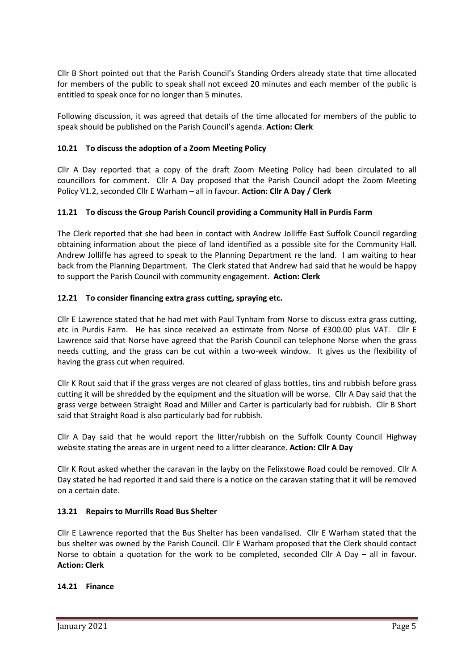Cllr B Short pointed out that the Parish Council's Standing Orders already state that time allocated for members of the public to speak shall not exceed 20 minutes and each member of the public is entitled to speak once for no longer than 5 minutes.

Following discussion, it was agreed that details of the time allocated for members of the public to speak should be published on the Parish Council's agenda. **Action: Clerk**

## **10.21 To discuss the adoption of a Zoom Meeting Policy**

Cllr A Day reported that a copy of the draft Zoom Meeting Policy had been circulated to all councillors for comment. Cllr A Day proposed that the Parish Council adopt the Zoom Meeting Policy V1.2, seconded Cllr E Warham – all in favour. **Action: Cllr A Day / Clerk**

# **11.21 To discuss the Group Parish Council providing a Community Hall in Purdis Farm**

The Clerk reported that she had been in contact with Andrew Jolliffe East Suffolk Council regarding obtaining information about the piece of land identified as a possible site for the Community Hall. Andrew Jolliffe has agreed to speak to the Planning Department re the land. I am waiting to hear back from the Planning Department. The Clerk stated that Andrew had said that he would be happy to support the Parish Council with community engagement. **Action: Clerk**

## **12.21 To consider financing extra grass cutting, spraying etc.**

Cllr E Lawrence stated that he had met with Paul Tynham from Norse to discuss extra grass cutting, etc in Purdis Farm. He has since received an estimate from Norse of £300.00 plus VAT. Cllr E Lawrence said that Norse have agreed that the Parish Council can telephone Norse when the grass needs cutting, and the grass can be cut within a two-week window. It gives us the flexibility of having the grass cut when required.

Cllr K Rout said that if the grass verges are not cleared of glass bottles, tins and rubbish before grass cutting it will be shredded by the equipment and the situation will be worse. Cllr A Day said that the grass verge between Straight Road and Miller and Carter is particularly bad for rubbish. Cllr B Short said that Straight Road is also particularly bad for rubbish.

Cllr A Day said that he would report the litter/rubbish on the Suffolk County Council Highway website stating the areas are in urgent need to a litter clearance. **Action: Cllr A Day**

Cllr K Rout asked whether the caravan in the layby on the Felixstowe Road could be removed. Cllr A Day stated he had reported it and said there is a notice on the caravan stating that it will be removed on a certain date.

## **13.21 Repairs to Murrills Road Bus Shelter**

Cllr E Lawrence reported that the Bus Shelter has been vandalised. Cllr E Warham stated that the bus shelter was owned by the Parish Council. Cllr E Warham proposed that the Clerk should contact Norse to obtain a quotation for the work to be completed, seconded Cllr A Day – all in favour. **Action: Clerk**

## **14.21 Finance**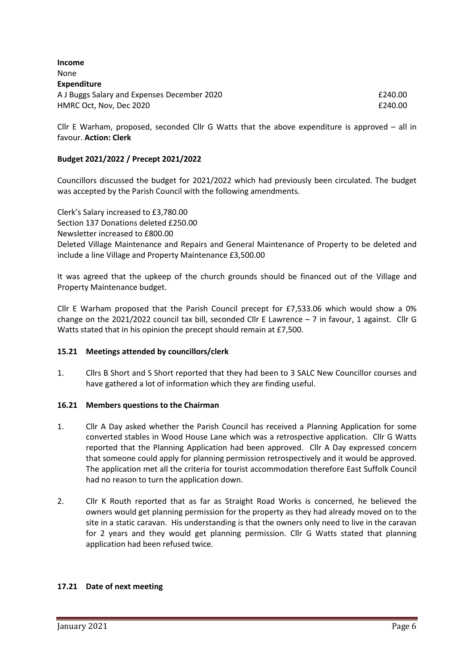| £240.00 |
|---------|
| £240.00 |
|         |

Cllr E Warham, proposed, seconded Cllr G Watts that the above expenditure is approved – all in favour. **Action: Clerk**

### **Budget 2021/2022 / Precept 2021/2022**

Councillors discussed the budget for 2021/2022 which had previously been circulated. The budget was accepted by the Parish Council with the following amendments.

Clerk's Salary increased to £3,780.00 Section 137 Donations deleted £250.00 Newsletter increased to £800.00 Deleted Village Maintenance and Repairs and General Maintenance of Property to be deleted and include a line Village and Property Maintenance £3,500.00

It was agreed that the upkeep of the church grounds should be financed out of the Village and Property Maintenance budget.

Cllr E Warham proposed that the Parish Council precept for £7,533.06 which would show a 0% change on the 2021/2022 council tax bill, seconded Cllr E Lawrence  $-7$  in favour, 1 against. Cllr G Watts stated that in his opinion the precept should remain at £7,500.

### **15.21 Meetings attended by councillors/clerk**

1. Cllrs B Short and S Short reported that they had been to 3 SALC New Councillor courses and have gathered a lot of information which they are finding useful.

### **16.21 Members questions to the Chairman**

- 1. Cllr A Day asked whether the Parish Council has received a Planning Application for some converted stables in Wood House Lane which was a retrospective application. Cllr G Watts reported that the Planning Application had been approved. Cllr A Day expressed concern that someone could apply for planning permission retrospectively and it would be approved. The application met all the criteria for tourist accommodation therefore East Suffolk Council had no reason to turn the application down.
- 2. Cllr K Routh reported that as far as Straight Road Works is concerned, he believed the owners would get planning permission for the property as they had already moved on to the site in a static caravan. His understanding is that the owners only need to live in the caravan for 2 years and they would get planning permission. Cllr G Watts stated that planning application had been refused twice.

### **17.21 Date of next meeting**